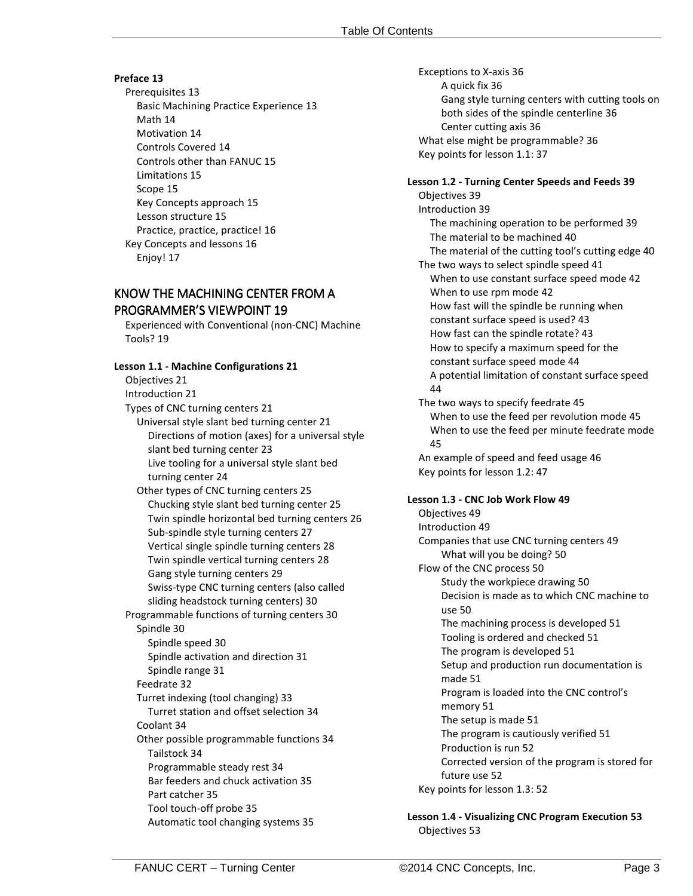### **Preface 13**

Prerequisites 13 Basic Machining Practice Experience 13 Math 14 Motivation 14 Controls Covered 14 Controls other than FANUC 15 Limitations 15 Scope 15 Key Concepts approach 15 Lesson structure 15 Practice, practice, practice! 16 Key Concepts and lessons 16 Enjoy! 17

## KNOW THE MACHINING CENTER FROM A **PROGRAMMER'S VIEWPOINT 19**

Experienced with Conventional (non-CNC) Machine Tools? 19

### **Lesson 1.1 - Machine Configurations 21**

Objectives 21

Introduction 21

Types of CNC turning centers 21 Universal style slant bed turning center 21 Directions of motion (axes) for a universal style slant bed turning center 23 Live tooling for a universal style slant bed turning center 24

Other types of CNC turning centers 25 Chucking style slant bed turning center 25 Twin spindle horizontal bed turning centers 26 Sub-spindle style turning centers 27 Vertical single spindle turning centers 28 Twin spindle vertical turning centers 28 Gang style turning centers 29 Swiss-type CNC turning centers (also called sliding headstock turning centers) 30 Programmable functions of turning centers 30 Spindle 30 Spindle speed 30 Spindle activation and direction 31 Spindle range 31 Feedrate 32 Turret indexing (tool changing) 33 Turret station and offset selection 34 Coolant 34 Other possible programmable functions 34 Tailstock 34 Programmable steady rest 34 Bar feeders and chuck activation 35 Part catcher 35

Tool touch-off probe 35 Automatic tool changing systems 35 Exceptions to X-axis 36 A quick fix 36 Gang style turning centers with cutting tools on both sides of the spindle centerline 36 Center cutting axis 36 What else might be programmable? 36 Key points for lesson 1.1: 37

### **Lesson 1.2 - Turning Center Speeds and Feeds 39**

Objectives 39 Introduction 39 The machining operation to be performed 39 The material to be machined 40 The material of the cutting tool's cutting edge 40 The two ways to select spindle speed 41 When to use constant surface speed mode 42 When to use rpm mode 42 How fast will the spindle be running when constant surface speed is used? 43 How fast can the spindle rotate? 43 How to specify a maximum speed for the constant surface speed mode 44 A potential limitation of constant surface speed 44 The two ways to specify feedrate 45 When to use the feed per revolution mode 45 When to use the feed per minute feedrate mode 45 An example of speed and feed usage 46 Key points for lesson 1.2: 47 **Lesson 1.3 - CNC Job Work Flow 49** Objectives 49 Introduction 49 Companies that use CNC turning centers 49 What will you be doing? 50 Flow of the CNC process 50 Study the workpiece drawing 50 Decision is made as to which CNC machine to use 50 The machining process is developed 51 Tooling is ordered and checked 51 The program is developed 51 Setup and production run documentation is made 51 Program is loaded into the CNC control's memory 51

The setup is made 51 The program is cautiously verified 51

Production is run 52

Corrected version of the program is stored for

future use 52 Key points for lesson 1.3: 52

**Lesson 1.4 - Visualizing CNC Program Execution 53** Objectives 53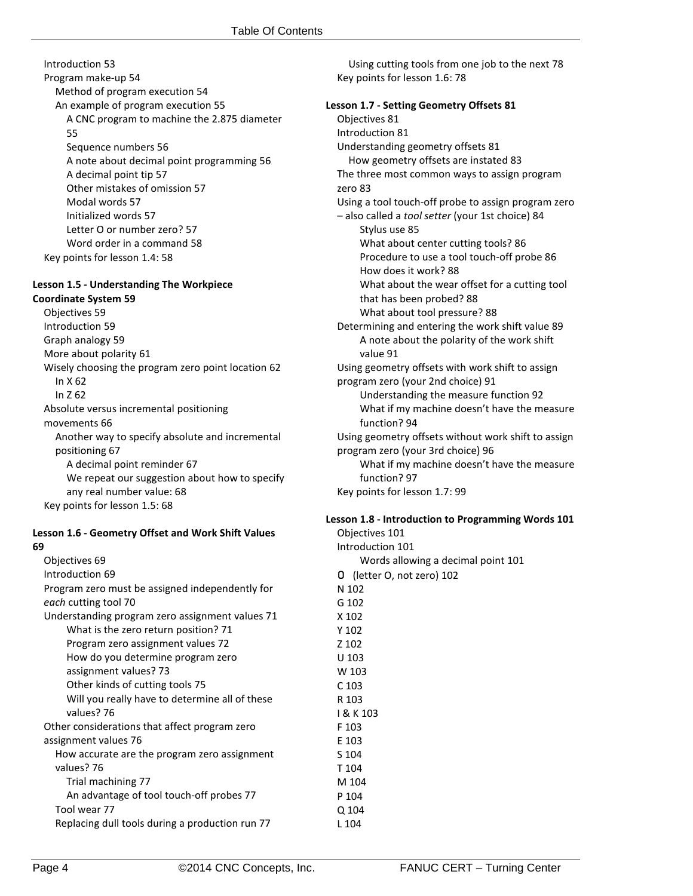Introduction 53 Program make-up 54 Method of program execution 54 An example of program execution 55 A CNC program to machine the 2.875 diameter 55 Sequence numbers 56 A note about decimal point programming 56 A decimal point tip 57 Other mistakes of omission 57 Modal words 57 Initialized words 57 Letter O or number zero? 57 Word order in a command 58 Key points for lesson 1.4: 58

### **Lesson 1.5 - Understanding The Workpiece**

**Coordinate System 59** Objectives 59 Introduction 59 Graph analogy 59 More about polarity 61 Wisely choosing the program zero point location 62 In X 62 In Z 62 Absolute versus incremental positioning movements 66 Another way to specify absolute and incremental positioning 67 A decimal point reminder 67 We repeat our suggestion about how to specify any real number value: 68 Key points for lesson 1.5: 68

### **Lesson 1.6 - Geometry Offset and Work Shift Values 69**

| Objectives 69                                   |
|-------------------------------------------------|
| Introduction 69                                 |
| Program zero must be assigned independently for |
| each cutting tool 70                            |
| Understanding program zero assignment values 71 |
| What is the zero return position? 71            |
| Program zero assignment values 72               |
| How do you determine program zero               |
| assignment values? 73                           |
| Other kinds of cutting tools 75                 |
| Will you really have to determine all of these  |
| values? 76                                      |
| Other considerations that affect program zero   |
| assignment values 76                            |
| How accurate are the program zero assignment    |
| values? 76                                      |
| Trial machining 77                              |
| An advantage of tool touch-off probes 77        |
| Tool wear 77                                    |
| Replacing dull tools during a production run 77 |

Using cutting tools from one job to the next 78 Key points for lesson 1.6: 78

# **Lesson 1.7 - Setting Geometry Offsets 81**

Objectives 81 Introduction 81 Understanding geometry offsets 81 How geometry offsets are instated 83 The three most common ways to assign program zero 83 Using a tool touch-off probe to assign program zero – also called a *tool setter* (your 1st choice) 84 Stylus use 85 What about center cutting tools? 86 Procedure to use a tool touch-off probe 86 How does it work? 88 What about the wear offset for a cutting tool that has been probed? 88 What about tool pressure? 88 Determining and entering the work shift value 89 A note about the polarity of the work shift value 91 Using geometry offsets with work shift to assign program zero (your 2nd choice) 91 Understanding the measure function 92 What if my machine doesn't have the measure function? 94 Using geometry offsets without work shift to assign program zero (your 3rd choice) 96 What if my machine doesn't have the measure function? 97 Key points for lesson 1.7: 99

### **Lesson 1.8 - Introduction to Programming Words 101**

Objectives 101 Introduction 101 Words allowing a decimal point 101 O (letter O, not zero) 102 N 102 G 102 X 102 Y 102 Z 102 U 103 W 103 C 103 R 103 I & K 103 F 103 E 103 S 104 T 104 M 104 P 104 Q 104

L 104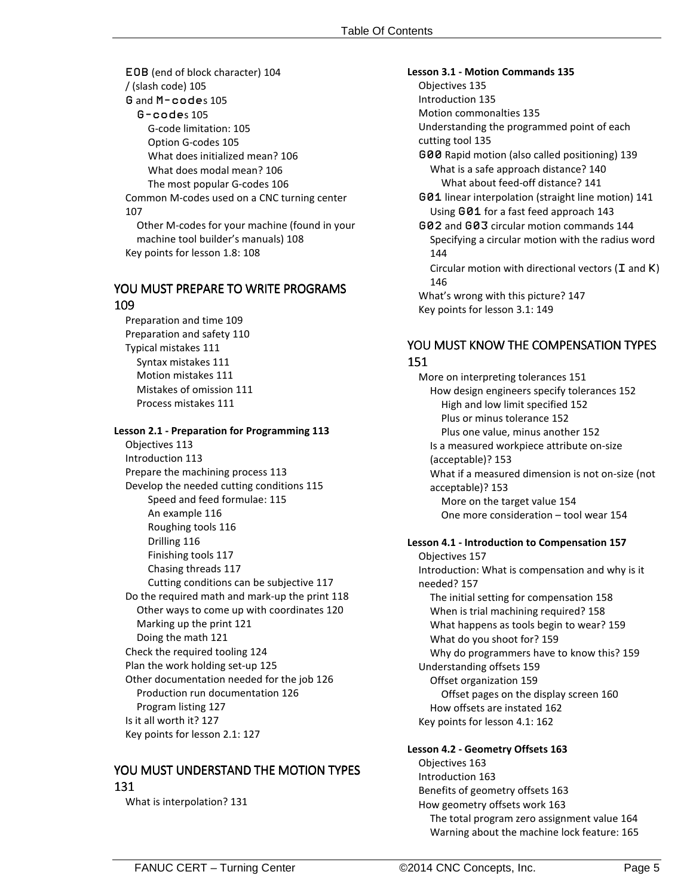EOB (end of block character) 104 / (slash code) 105 G and M-codes 105 G-codes 105 G-code limitation: 105 Option G-codes 105 What does initialized mean? 106 What does modal mean? 106 The most popular G-codes 106 Common M-codes used on a CNC turning center 107 Other M-codes for your machine (found in your machine tool builder's manuals) 108 Key points for lesson 1.8: 108

## YOU MUST PREPARE TO WRITE PROGRAMS

### 109

Preparation and time 109 Preparation and safety 110 Typical mistakes 111 Syntax mistakes 111 Motion mistakes 111 Mistakes of omission 111 Process mistakes 111

### **Lesson 2.1 - Preparation for Programming 113**

Objectives 113 Introduction 113 Prepare the machining process 113 Develop the needed cutting conditions 115 Speed and feed formulae: 115 An example 116 Roughing tools 116 Drilling 116 Finishing tools 117 Chasing threads 117 Cutting conditions can be subjective 117 Do the required math and mark-up the print 118 Other ways to come up with coordinates 120 Marking up the print 121 Doing the math 121 Check the required tooling 124 Plan the work holding set-up 125 Other documentation needed for the job 126 Production run documentation 126 Program listing 127 Is it all worth it? 127 Key points for lesson 2.1: 127

# YOU MUST UNDERSTAND THE MOTION TYPES 131

What is interpolation? 131

**Lesson 3.1 - Motion Commands 135** Objectives 135 Introduction 135 Motion commonalties 135 Understanding the programmed point of each cutting tool 135 G00 Rapid motion (also called positioning) 139 What is a safe approach distance? 140 What about feed-off distance? 141 G01 linear interpolation (straight line motion) 141 Using G01 for a fast feed approach 143 G02 and G03 circular motion commands 144 Specifying a circular motion with the radius word 144 Circular motion with directional vectors ( $I$  and  $K$ ) 146 What's wrong with this picture? 147 Key points for lesson 3.1: 149

# YOU MUST KNOW THE COMPENSATION TYPES 151

More on interpreting tolerances 151 How design engineers specify tolerances 152 High and low limit specified 152 Plus or minus tolerance 152 Plus one value, minus another 152 Is a measured workpiece attribute on-size (acceptable)? 153 What if a measured dimension is not on-size (not acceptable)? 153 More on the target value 154 One more consideration – tool wear 154

## **Lesson 4.1 - Introduction to Compensation 157**

Objectives 157 Introduction: What is compensation and why is it needed? 157 The initial setting for compensation 158 When is trial machining required? 158 What happens as tools begin to wear? 159 What do you shoot for? 159 Why do programmers have to know this? 159 Understanding offsets 159 Offset organization 159 Offset pages on the display screen 160 How offsets are instated 162 Key points for lesson 4.1: 162

## **Lesson 4.2 - Geometry Offsets 163**

Objectives 163 Introduction 163 Benefits of geometry offsets 163 How geometry offsets work 163 The total program zero assignment value 164 Warning about the machine lock feature: 165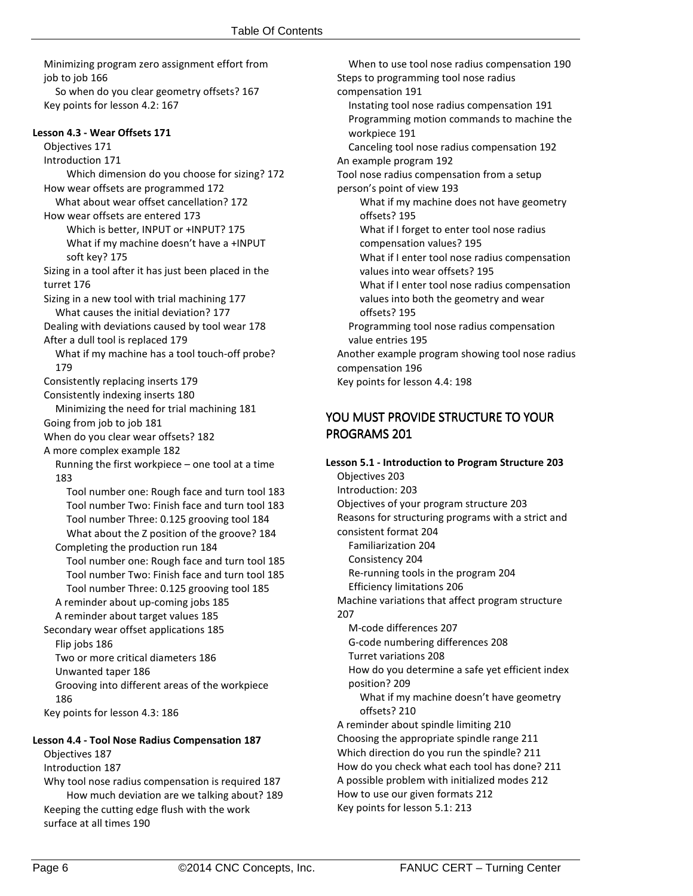Minimizing program zero assignment effort from job to job 166 So when do you clear geometry offsets? 167 Key points for lesson 4.2: 167

## **Lesson 4.3 - Wear Offsets 171**

Objectives 171 Introduction 171 Which dimension do you choose for sizing? 172 How wear offsets are programmed 172 What about wear offset cancellation? 172 How wear offsets are entered 173 Which is better, INPUT or +INPUT? 175 What if my machine doesn't have a +INPUT soft key? 175 Sizing in a tool after it has just been placed in the turret 176 Sizing in a new tool with trial machining 177 What causes the initial deviation? 177 Dealing with deviations caused by tool wear 178 After a dull tool is replaced 179 What if my machine has a tool touch-off probe? 179 Consistently replacing inserts 179 Consistently indexing inserts 180 Minimizing the need for trial machining 181 Going from job to job 181 When do you clear wear offsets? 182 A more complex example 182 Running the first workpiece – one tool at a time 183 Tool number one: Rough face and turn tool 183 Tool number Two: Finish face and turn tool 183 Tool number Three: 0.125 grooving tool 184 What about the Z position of the groove? 184 Completing the production run 184 Tool number one: Rough face and turn tool 185 Tool number Two: Finish face and turn tool 185 Tool number Three: 0.125 grooving tool 185 A reminder about up-coming jobs 185 A reminder about target values 185 Secondary wear offset applications 185 Flip jobs 186 Two or more critical diameters 186 Unwanted taper 186 Grooving into different areas of the workpiece 186 Key points for lesson 4.3: 186

## **Lesson 4.4 - Tool Nose Radius Compensation 187**

Objectives 187 Introduction 187

Why tool nose radius compensation is required 187 How much deviation are we talking about? 189 Keeping the cutting edge flush with the work surface at all times 190

When to use tool nose radius compensation 190 Steps to programming tool nose radius compensation 191 Instating tool nose radius compensation 191 Programming motion commands to machine the workpiece 191 Canceling tool nose radius compensation 192 An example program 192 Tool nose radius compensation from a setup person's point of view 193 What if my machine does not have geometry offsets? 195 What if I forget to enter tool nose radius compensation values? 195 What if I enter tool nose radius compensation values into wear offsets? 195 What if I enter tool nose radius compensation values into both the geometry and wear offsets? 195 Programming tool nose radius compensation value entries 195 Another example program showing tool nose radius compensation 196 Key points for lesson 4.4: 198

# YOU MUST PROVIDE STRUCTURE TO YOUR PROGRAMS 201

**Lesson 5.1 - Introduction to Program Structure 203** Objectives 203 Introduction: 203 Objectives of your program structure 203 Reasons for structuring programs with a strict and consistent format 204 Familiarization 204 Consistency 204 Re-running tools in the program 204 Efficiency limitations 206 Machine variations that affect program structure 207 M-code differences 207 G-code numbering differences 208 Turret variations 208 How do you determine a safe yet efficient index position? 209 What if my machine doesn't have geometry offsets? 210 A reminder about spindle limiting 210 Choosing the appropriate spindle range 211 Which direction do you run the spindle? 211 How do you check what each tool has done? 211 A possible problem with initialized modes 212 How to use our given formats 212 Key points for lesson 5.1: 213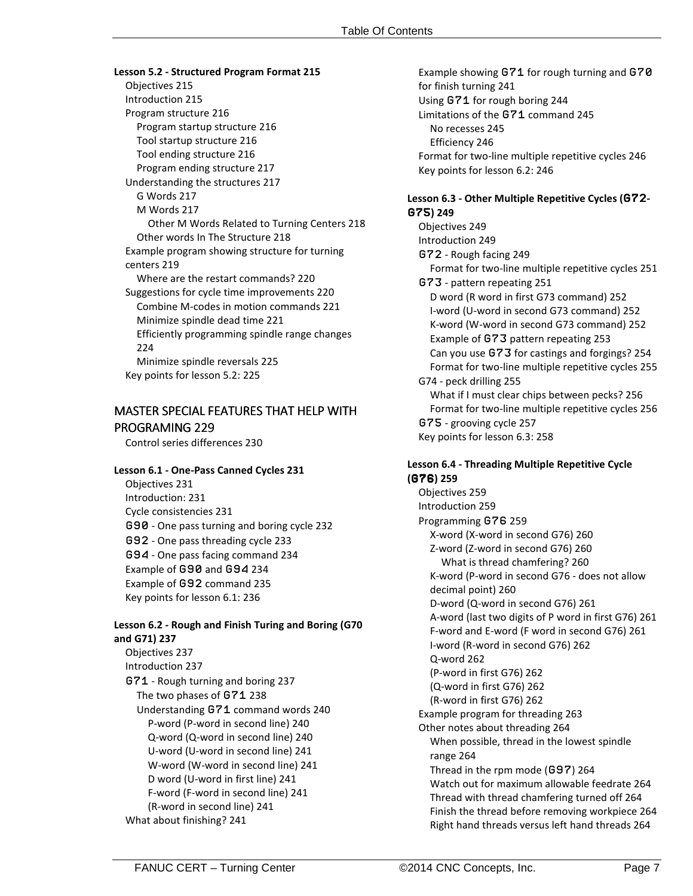**Lesson 5.2 - Structured Program Format 215** Objectives 215 Introduction 215 Program structure 216 Program startup structure 216 Tool startup structure 216 Tool ending structure 216 Program ending structure 217 Understanding the structures 217 G Words 217 M Words 217 Other M Words Related to Turning Centers 218 Other words In The Structure 218 Example program showing structure for turning centers 219 Where are the restart commands? 220 Suggestions for cycle time improvements 220 Combine M-codes in motion commands 221 Minimize spindle dead time 221 Efficiently programming spindle range changes 224 Minimize spindle reversals 225 Key points for lesson 5.2: 225

# MASTER SPECIAL FEATURES THAT HELP WITH PROGRAMING 229

Control series differences 230

### **Lesson 6.1 - One-Pass Canned Cycles 231**

Objectives 231 Introduction: 231 Cycle consistencies 231 G90 - One pass turning and boring cycle 232 G92 - One pass threading cycle 233 G94 - One pass facing command 234 Example of G90 and G94 234 Example of G92 command 235 Key points for lesson 6.1: 236

## **Lesson 6.2 - Rough and Finish Turing and Boring (G70 and G71) 237**

Objectives 237 Introduction 237 G71 - Rough turning and boring 237 The two phases of G71 238 Understanding G71 command words 240 P-word (P-word in second line) 240 Q-word (Q-word in second line) 240 U-word (U-word in second line) 241 W-word (W-word in second line) 241 D word (U-word in first line) 241 F-word (F-word in second line) 241 (R-word in second line) 241 What about finishing? 241

Example showing G71 for rough turning and G70 for finish turning 241 Using G71 for rough boring 244 Limitations of the G71 command 245 No recesses 245 Efficiency 246 Format for two-line multiple repetitive cycles 246 Key points for lesson 6.2: 246

### **Lesson 6.3 - Other Multiple Repetitive Cycles (**G72**-** G75**) 249**

Objectives 249 Introduction 249 G72 - Rough facing 249 Format for two-line multiple repetitive cycles 251 G73 - pattern repeating 251 D word (R word in first G73 command) 252 I-word (U-word in second G73 command) 252 K-word (W-word in second G73 command) 252 Example of G73 pattern repeating 253 Can you use G73 for castings and forgings? 254 Format for two-line multiple repetitive cycles 255 G74 - peck drilling 255 What if I must clear chips between pecks? 256 Format for two-line multiple repetitive cycles 256 G75 - grooving cycle 257 Key points for lesson 6.3: 258

### **Lesson 6.4 - Threading Multiple Repetitive Cycle (**G76**) 259**

Objectives 259 Introduction 259 Programming G76 259 X-word (X-word in second G76) 260 Z-word (Z-word in second G76) 260 What is thread chamfering? 260 K-word (P-word in second G76 - does not allow decimal point) 260 D-word (Q-word in second G76) 261 A-word (last two digits of P word in first G76) 261 F-word and E-word (F word in second G76) 261 I-word (R-word in second G76) 262 Q-word 262 (P-word in first G76) 262 (Q-word in first G76) 262 (R-word in first G76) 262 Example program for threading 263 Other notes about threading 264 When possible, thread in the lowest spindle range 264 Thread in the rpm mode (G97) 264 Watch out for maximum allowable feedrate 264 Thread with thread chamfering turned off 264 Finish the thread before removing workpiece 264 Right hand threads versus left hand threads 264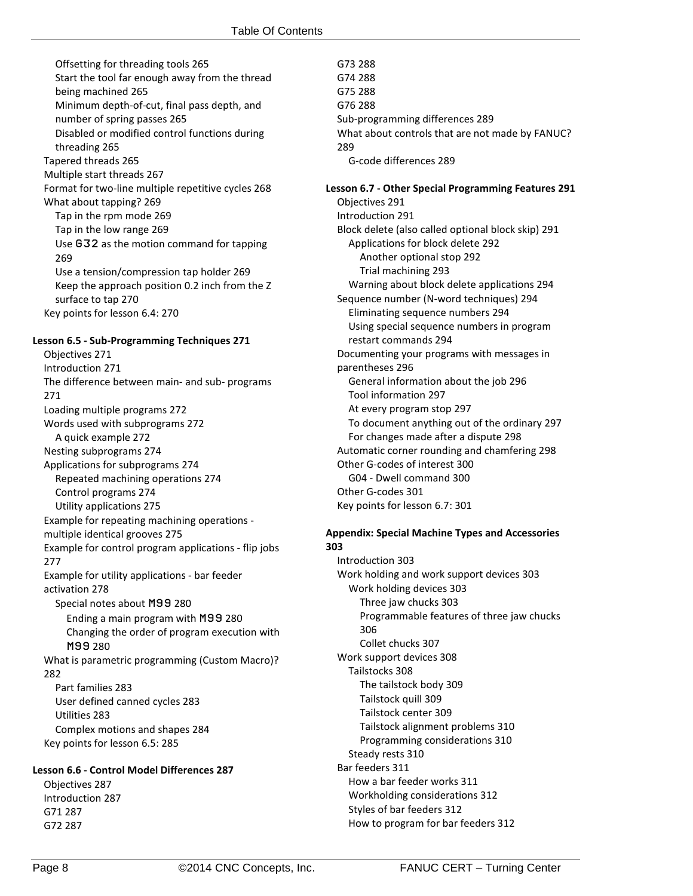Offsetting for threading tools 265 Start the tool far enough away from the thread being machined 265 Minimum depth-of-cut, final pass depth, and number of spring passes 265 Disabled or modified control functions during threading 265 Tapered threads 265 Multiple start threads 267 Format for two-line multiple repetitive cycles 268 What about tapping? 269 Tap in the rpm mode 269 Tap in the low range 269 Use G32 as the motion command for tapping 269 Use a tension/compression tap holder 269 Keep the approach position 0.2 inch from the Z surface to tap 270 Key points for lesson 6.4: 270 **Lesson 6.5 - Sub-Programming Techniques 271** Objectives 271 Introduction 271 The difference between main- and sub- programs 271 Loading multiple programs 272 Words used with subprograms 272 A quick example 272 Nesting subprograms 274 Applications for subprograms 274 Repeated machining operations 274 Control programs 274 Utility applications 275 Example for repeating machining operations multiple identical grooves 275 Example for control program applications - flip jobs 277 Example for utility applications - bar feeder activation 278 Special notes about M99 280 Ending a main program with M99 280 Changing the order of program execution with M99 280 What is parametric programming (Custom Macro)? 282 Part families 283 User defined canned cycles 283 Utilities 283 Complex motions and shapes 284 Key points for lesson 6.5: 285

**Lesson 6.6 - Control Model Differences 287**

Objectives 287 Introduction 287 G71 287 G72 287

G73 288 G74 288 G75 288 G76 288 Sub-programming differences 289 What about controls that are not made by FANUC? 289 G-code differences 289

**Lesson 6.7 - Other Special Programming Features 291** Objectives 291 Introduction 291 Block delete (also called optional block skip) 291 Applications for block delete 292 Another optional stop 292 Trial machining 293 Warning about block delete applications 294 Sequence number (N-word techniques) 294 Eliminating sequence numbers 294 Using special sequence numbers in program restart commands 294 Documenting your programs with messages in parentheses 296 General information about the job 296 Tool information 297 At every program stop 297 To document anything out of the ordinary 297 For changes made after a dispute 298 Automatic corner rounding and chamfering 298 Other G-codes of interest 300 G04 - Dwell command 300 Other G-codes 301 Key points for lesson 6.7: 301

#### **Appendix: Special Machine Types and Accessories 303**

Introduction 303 Work holding and work support devices 303 Work holding devices 303 Three jaw chucks 303 Programmable features of three jaw chucks 306 Collet chucks 307 Work support devices 308 Tailstocks 308 The tailstock body 309 Tailstock quill 309 Tailstock center 309 Tailstock alignment problems 310 Programming considerations 310 Steady rests 310 Bar feeders 311 How a bar feeder works 311 Workholding considerations 312 Styles of bar feeders 312 How to program for bar feeders 312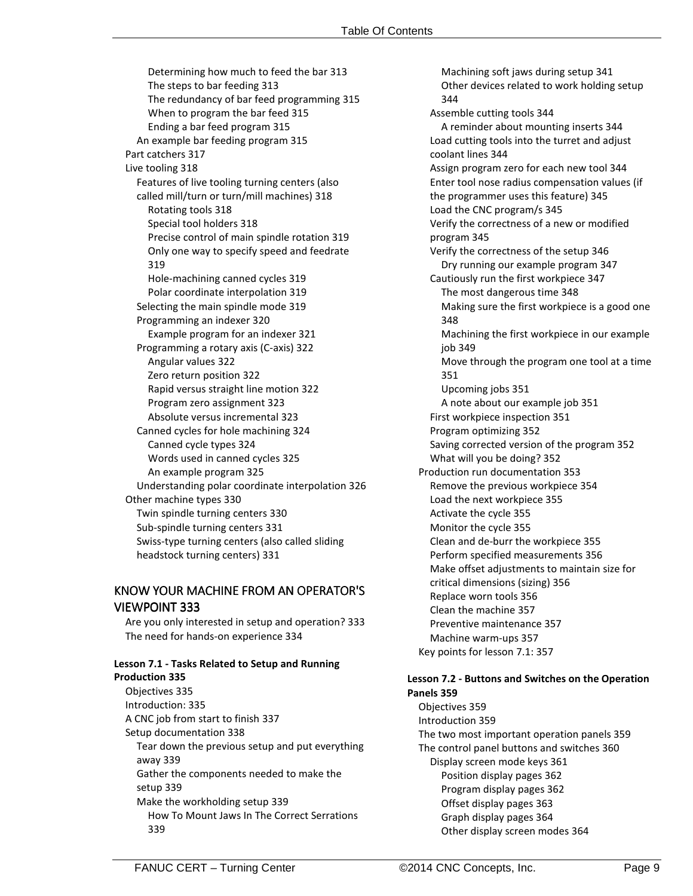Determining how much to feed the bar 313 The steps to bar feeding 313 The redundancy of bar feed programming 315 When to program the bar feed 315 Ending a bar feed program 315 An example bar feeding program 315 Part catchers 317 Live tooling 318 Features of live tooling turning centers (also called mill/turn or turn/mill machines) 318 Rotating tools 318 Special tool holders 318 Precise control of main spindle rotation 319 Only one way to specify speed and feedrate 319 Hole-machining canned cycles 319 Polar coordinate interpolation 319 Selecting the main spindle mode 319 Programming an indexer 320 Example program for an indexer 321 Programming a rotary axis (C-axis) 322 Angular values 322 Zero return position 322 Rapid versus straight line motion 322 Program zero assignment 323 Absolute versus incremental 323 Canned cycles for hole machining 324 Canned cycle types 324 Words used in canned cycles 325 An example program 325 Understanding polar coordinate interpolation 326 Other machine types 330 Twin spindle turning centers 330 Sub-spindle turning centers 331 Swiss-type turning centers (also called sliding headstock turning centers) 331

# KNOW YOUR MACHINE FROM AN OPERATOR'S VIEWPOINT 333

Are you only interested in setup and operation? 333 The need for hands-on experience 334

## **Lesson 7.1 - Tasks Related to Setup and Running**

**Production 335** Objectives 335 Introduction: 335 A CNC job from start to finish 337 Setup documentation 338 Tear down the previous setup and put everything away 339 Gather the components needed to make the setup 339 Make the workholding setup 339 How To Mount Jaws In The Correct Serrations 339

Machining soft jaws during setup 341 Other devices related to work holding setup 344 Assemble cutting tools 344 A reminder about mounting inserts 344 Load cutting tools into the turret and adjust coolant lines 344 Assign program zero for each new tool 344 Enter tool nose radius compensation values (if the programmer uses this feature) 345 Load the CNC program/s 345 Verify the correctness of a new or modified program 345 Verify the correctness of the setup 346 Dry running our example program 347 Cautiously run the first workpiece 347 The most dangerous time 348 Making sure the first workpiece is a good one 348 Machining the first workpiece in our example job 349 Move through the program one tool at a time 351 Upcoming jobs 351 A note about our example job 351 First workpiece inspection 351 Program optimizing 352 Saving corrected version of the program 352 What will you be doing? 352 Production run documentation 353 Remove the previous workpiece 354 Load the next workpiece 355 Activate the cycle 355 Monitor the cycle 355 Clean and de-burr the workpiece 355 Perform specified measurements 356 Make offset adjustments to maintain size for critical dimensions (sizing) 356 Replace worn tools 356 Clean the machine 357 Preventive maintenance 357 Machine warm-ups 357 Key points for lesson 7.1: 357

### **Lesson 7.2 - Buttons and Switches on the Operation Panels 359**

Objectives 359 Introduction 359 The two most important operation panels 359 The control panel buttons and switches 360 Display screen mode keys 361 Position display pages 362 Program display pages 362 Offset display pages 363 Graph display pages 364 Other display screen modes 364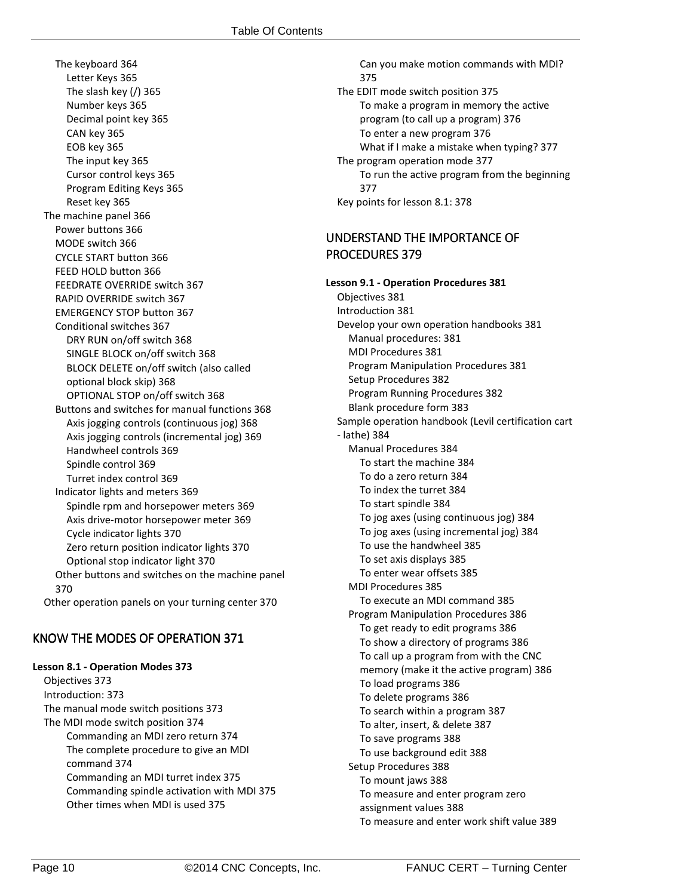The keyboard 364 Letter Keys 365 The slash key (/) 365 Number keys 365 Decimal point key 365 CAN key 365 EOB key 365 The input key 365 Cursor control keys 365 Program Editing Keys 365 Reset key 365 The machine panel 366 Power buttons 366 MODE switch 366 CYCLE START button 366 FEED HOLD button 366 FEEDRATE OVERRIDE switch 367 RAPID OVERRIDE switch 367 EMERGENCY STOP button 367 Conditional switches 367 DRY RUN on/off switch 368 SINGLE BLOCK on/off switch 368 BLOCK DELETE on/off switch (also called optional block skip) 368 OPTIONAL STOP on/off switch 368 Buttons and switches for manual functions 368 Axis jogging controls (continuous jog) 368 Axis jogging controls (incremental jog) 369 Handwheel controls 369 Spindle control 369 Turret index control 369 Indicator lights and meters 369 Spindle rpm and horsepower meters 369 Axis drive-motor horsepower meter 369 Cycle indicator lights 370 Zero return position indicator lights 370 Optional stop indicator light 370 Other buttons and switches on the machine panel 370 Other operation panels on your turning center 370

# KNOW THE MODES OF OPERATION 371

### **Lesson 8.1 - Operation Modes 373**

Objectives 373 Introduction: 373 The manual mode switch positions 373 The MDI mode switch position 374 Commanding an MDI zero return 374 The complete procedure to give an MDI command 374 Commanding an MDI turret index 375 Commanding spindle activation with MDI 375 Other times when MDI is used 375

Can you make motion commands with MDI? 375 The EDIT mode switch position 375 To make a program in memory the active program (to call up a program) 376 To enter a new program 376 What if I make a mistake when typing? 377 The program operation mode 377 To run the active program from the beginning 377 Key points for lesson 8.1: 378

# UNDERSTAND THE IMPORTANCE OF PROCEDURES 379

**Lesson 9.1 - Operation Procedures 381** Objectives 381 Introduction 381 Develop your own operation handbooks 381 Manual procedures: 381 MDI Procedures 381 Program Manipulation Procedures 381 Setup Procedures 382 Program Running Procedures 382 Blank procedure form 383 Sample operation handbook (Levil certification cart - lathe) 384 Manual Procedures 384 To start the machine 384 To do a zero return 384 To index the turret 384 To start spindle 384 To jog axes (using continuous jog) 384 To jog axes (using incremental jog) 384 To use the handwheel 385 To set axis displays 385 To enter wear offsets 385 MDI Procedures 385 To execute an MDI command 385 Program Manipulation Procedures 386 To get ready to edit programs 386 To show a directory of programs 386 To call up a program from with the CNC memory (make it the active program) 386 To load programs 386 To delete programs 386 To search within a program 387 To alter, insert, & delete 387 To save programs 388 To use background edit 388 Setup Procedures 388 To mount jaws 388 To measure and enter program zero assignment values 388 To measure and enter work shift value 389